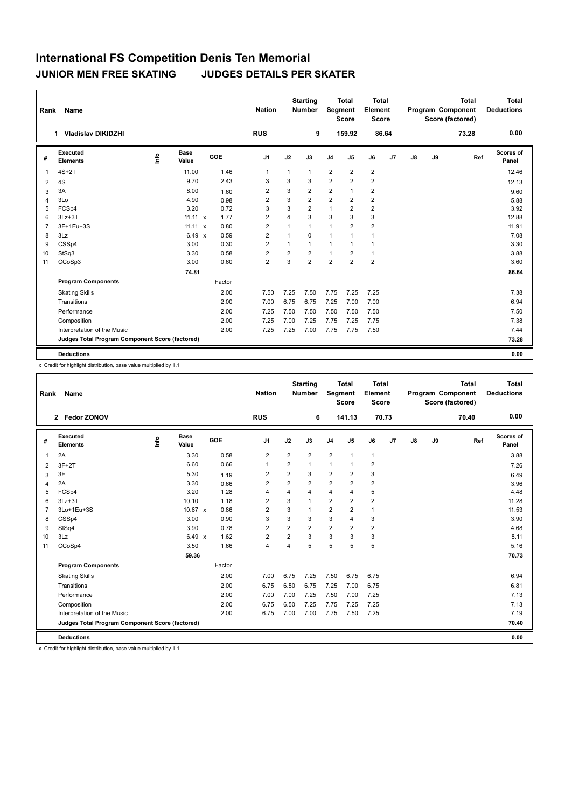| Rank           | Name                                            |      |                      |        | <b>Nation</b>  |                         | <b>Starting</b><br><b>Number</b> | Segment        | <b>Total</b><br><b>Score</b> | Total<br>Element<br><b>Score</b> |       |               |    | <b>Total</b><br>Program Component<br>Score (factored) | <b>Total</b><br><b>Deductions</b> |
|----------------|-------------------------------------------------|------|----------------------|--------|----------------|-------------------------|----------------------------------|----------------|------------------------------|----------------------------------|-------|---------------|----|-------------------------------------------------------|-----------------------------------|
|                | <b>Vladislav DIKIDZHI</b><br>1.                 |      |                      |        | <b>RUS</b>     |                         | 9                                |                | 159.92                       |                                  | 86.64 |               |    | 73.28                                                 | 0.00                              |
| #              | Executed<br><b>Elements</b>                     | lnfo | <b>Base</b><br>Value | GOE    | J <sub>1</sub> | J2                      | J3                               | J <sub>4</sub> | J <sub>5</sub>               | J6                               | J7    | $\mathsf{J}8$ | J9 | Ref                                                   | Scores of<br>Panel                |
| 1              | $4S+2T$                                         |      | 11.00                | 1.46   | $\overline{1}$ | $\mathbf{1}$            | $\mathbf{1}$                     | $\overline{2}$ | $\overline{2}$               | $\overline{2}$                   |       |               |    |                                                       | 12.46                             |
| 2              | 4S                                              |      | 9.70                 | 2.43   | 3              | 3                       | 3                                | $\overline{2}$ | $\overline{2}$               | $\overline{2}$                   |       |               |    |                                                       | 12.13                             |
| 3              | 3A                                              |      | 8.00                 | 1.60   | $\overline{2}$ | 3                       | $\overline{2}$                   | $\overline{2}$ | $\overline{1}$               | $\overline{2}$                   |       |               |    |                                                       | 9.60                              |
| 4              | 3Lo                                             |      | 4.90                 | 0.98   | $\overline{2}$ | 3                       | $\overline{2}$                   | $\overline{2}$ | $\overline{2}$               | $\overline{2}$                   |       |               |    |                                                       | 5.88                              |
| 5              | FCSp4                                           |      | 3.20                 | 0.72   | 3              | 3                       | $\overline{2}$                   | $\mathbf{1}$   | $\overline{2}$               | $\overline{2}$                   |       |               |    |                                                       | 3.92                              |
| 6              | $3Lz + 3T$                                      |      | $11.11 \times$       | 1.77   | $\overline{2}$ | $\overline{\mathbf{4}}$ | 3                                | 3              | 3                            | 3                                |       |               |    |                                                       | 12.88                             |
| $\overline{7}$ | 3F+1Eu+3S                                       |      | $11.11 \times$       | 0.80   | $\overline{2}$ | $\mathbf{1}$            | $\mathbf{1}$                     | 1              | $\overline{2}$               | $\overline{2}$                   |       |               |    |                                                       | 11.91                             |
| 8              | 3Lz                                             |      | $6.49 \times$        | 0.59   | $\overline{2}$ | $\mathbf{1}$            | $\Omega$                         | $\mathbf{1}$   | 1                            | $\mathbf{1}$                     |       |               |    |                                                       | 7.08                              |
| 9              | CSSp4                                           |      | 3.00                 | 0.30   | $\overline{2}$ | $\mathbf{1}$            | 1                                | $\mathbf{1}$   | $\mathbf{1}$                 | $\mathbf{1}$                     |       |               |    |                                                       | 3.30                              |
| 10             | StSq3                                           |      | 3.30                 | 0.58   | $\overline{2}$ | $\overline{2}$          | $\overline{2}$                   | $\mathbf{1}$   | $\overline{2}$               | $\mathbf{1}$                     |       |               |    |                                                       | 3.88                              |
| 11             | CCoSp3                                          |      | 3.00                 | 0.60   | $\overline{2}$ | 3                       | $\overline{2}$                   | $\overline{2}$ | $\overline{2}$               | $\overline{2}$                   |       |               |    |                                                       | 3.60                              |
|                |                                                 |      | 74.81                |        |                |                         |                                  |                |                              |                                  |       |               |    |                                                       | 86.64                             |
|                | <b>Program Components</b>                       |      |                      | Factor |                |                         |                                  |                |                              |                                  |       |               |    |                                                       |                                   |
|                | <b>Skating Skills</b>                           |      |                      | 2.00   | 7.50           | 7.25                    | 7.50                             | 7.75           | 7.25                         | 7.25                             |       |               |    |                                                       | 7.38                              |
|                | Transitions                                     |      |                      | 2.00   | 7.00           | 6.75                    | 6.75                             | 7.25           | 7.00                         | 7.00                             |       |               |    |                                                       | 6.94                              |
|                | Performance                                     |      |                      | 2.00   | 7.25           | 7.50                    | 7.50                             | 7.50           | 7.50                         | 7.50                             |       |               |    |                                                       | 7.50                              |
|                | Composition                                     |      |                      | 2.00   | 7.25           | 7.00                    | 7.25                             | 7.75           | 7.25                         | 7.75                             |       |               |    |                                                       | 7.38                              |
|                | Interpretation of the Music                     |      |                      | 2.00   | 7.25           | 7.25                    | 7.00                             | 7.75           | 7.75                         | 7.50                             |       |               |    |                                                       | 7.44                              |
|                | Judges Total Program Component Score (factored) |      |                      |        |                |                         |                                  |                |                              |                                  |       |               |    |                                                       | 73.28                             |
|                | <b>Deductions</b>                               |      |                      |        |                |                         |                                  |                |                              |                                  |       |               |    |                                                       | 0.00                              |

x Credit for highlight distribution, base value multiplied by 1.1

| Rank           | Name                                            |      |                      |        | <b>Nation</b>  |                | <b>Starting</b><br><b>Number</b> | Segment        | <b>Total</b><br><b>Score</b> | <b>Total</b><br>Element<br><b>Score</b> |       |    |    | <b>Total</b><br>Program Component<br>Score (factored) | <b>Total</b><br><b>Deductions</b> |
|----------------|-------------------------------------------------|------|----------------------|--------|----------------|----------------|----------------------------------|----------------|------------------------------|-----------------------------------------|-------|----|----|-------------------------------------------------------|-----------------------------------|
|                | 2 Fedor ZONOV                                   |      |                      |        | <b>RUS</b>     |                | 6                                |                | 141.13                       |                                         | 70.73 |    |    | 70.40                                                 | 0.00                              |
| #              | Executed<br><b>Elements</b>                     | lnfo | <b>Base</b><br>Value | GOE    | J1             | J2             | J3                               | J <sub>4</sub> | J5                           | J6                                      | J7    | J8 | J9 | Ref                                                   | Scores of<br>Panel                |
| 1              | 2A                                              |      | 3.30                 | 0.58   | $\overline{2}$ | $\overline{2}$ | $\overline{2}$                   | $\overline{2}$ | $\mathbf{1}$                 | $\mathbf{1}$                            |       |    |    |                                                       | 3.88                              |
| 2              | $3F+2T$                                         |      | 6.60                 | 0.66   | 1              | $\overline{2}$ | 1                                | $\mathbf{1}$   | 1                            | 2                                       |       |    |    |                                                       | 7.26                              |
| 3              | 3F                                              |      | 5.30                 | 1.19   | 2              | $\overline{2}$ | 3                                | 2              | $\overline{2}$               | 3                                       |       |    |    |                                                       | 6.49                              |
| $\overline{4}$ | 2A                                              |      | 3.30                 | 0.66   | $\overline{2}$ | $\overline{2}$ | $\overline{2}$                   | $\overline{2}$ | $\overline{2}$               | $\overline{2}$                          |       |    |    |                                                       | 3.96                              |
| 5              | FCSp4                                           |      | 3.20                 | 1.28   | 4              | 4              | 4                                | $\overline{4}$ | 4                            | 5                                       |       |    |    |                                                       | 4.48                              |
| 6              | $3Lz + 3T$                                      |      | 10.10                | 1.18   | $\overline{2}$ | 3              | $\overline{1}$                   | $\overline{2}$ | $\overline{2}$               | $\overline{2}$                          |       |    |    |                                                       | 11.28                             |
| 7              | 3Lo+1Eu+3S                                      |      | 10.67 x              | 0.86   | $\overline{2}$ | 3              | 1                                | $\overline{2}$ | $\overline{2}$               | $\mathbf{1}$                            |       |    |    |                                                       | 11.53                             |
| 8              | CSSp4                                           |      | 3.00                 | 0.90   | 3              | 3              | 3                                | 3              | 4                            | 3                                       |       |    |    |                                                       | 3.90                              |
| 9              | StSq4                                           |      | 3.90                 | 0.78   | $\overline{2}$ | $\overline{2}$ | $\overline{2}$                   | $\overline{2}$ | $\overline{2}$               | $\overline{2}$                          |       |    |    |                                                       | 4.68                              |
| 10             | 3Lz                                             |      | $6.49 \times$        | 1.62   | $\overline{2}$ | $\overline{2}$ | 3                                | 3              | 3                            | 3                                       |       |    |    |                                                       | 8.11                              |
| 11             | CCoSp4                                          |      | 3.50                 | 1.66   | $\overline{4}$ | 4              | 5                                | 5              | 5                            | 5                                       |       |    |    |                                                       | 5.16                              |
|                |                                                 |      | 59.36                |        |                |                |                                  |                |                              |                                         |       |    |    |                                                       | 70.73                             |
|                | <b>Program Components</b>                       |      |                      | Factor |                |                |                                  |                |                              |                                         |       |    |    |                                                       |                                   |
|                | <b>Skating Skills</b>                           |      |                      | 2.00   | 7.00           | 6.75           | 7.25                             | 7.50           | 6.75                         | 6.75                                    |       |    |    |                                                       | 6.94                              |
|                | Transitions                                     |      |                      | 2.00   | 6.75           | 6.50           | 6.75                             | 7.25           | 7.00                         | 6.75                                    |       |    |    |                                                       | 6.81                              |
|                | Performance                                     |      |                      | 2.00   | 7.00           | 7.00           | 7.25                             | 7.50           | 7.00                         | 7.25                                    |       |    |    |                                                       | 7.13                              |
|                | Composition                                     |      |                      | 2.00   | 6.75           | 6.50           | 7.25                             | 7.75           | 7.25                         | 7.25                                    |       |    |    |                                                       | 7.13                              |
|                | Interpretation of the Music                     |      |                      | 2.00   | 6.75           | 7.00           | 7.00                             | 7.75           | 7.50                         | 7.25                                    |       |    |    |                                                       | 7.19                              |
|                | Judges Total Program Component Score (factored) |      |                      |        |                |                |                                  |                |                              |                                         |       |    |    |                                                       | 70.40                             |
|                | <b>Deductions</b>                               |      |                      |        |                |                |                                  |                |                              |                                         |       |    |    |                                                       | 0.00                              |

x Credit for highlight distribution, base value multiplied by 1.1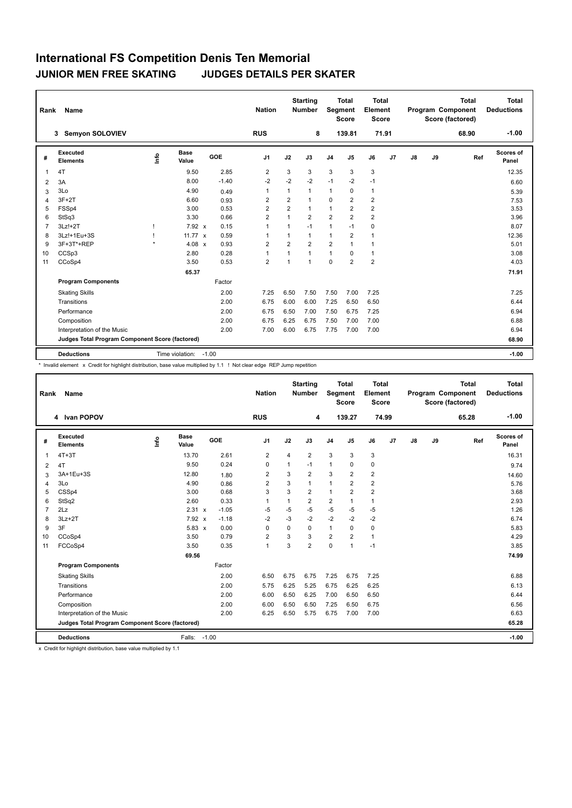| Rank           | Name                                            |      |                      |         | <b>Nation</b>  |                | <b>Starting</b><br><b>Number</b> | Segment        | <b>Total</b><br><b>Score</b> | <b>Total</b><br>Element<br><b>Score</b> |    |               |    | <b>Total</b><br><b>Program Component</b><br>Score (factored) | <b>Total</b><br><b>Deductions</b> |
|----------------|-------------------------------------------------|------|----------------------|---------|----------------|----------------|----------------------------------|----------------|------------------------------|-----------------------------------------|----|---------------|----|--------------------------------------------------------------|-----------------------------------|
|                | <b>Semyon SOLOVIEV</b><br>3                     |      |                      |         | <b>RUS</b>     |                | 8                                |                | 139.81                       | 71.91                                   |    |               |    | 68.90                                                        | $-1.00$                           |
| #              | Executed<br><b>Elements</b>                     | lnfo | <b>Base</b><br>Value | GOE     | J1             | J2             | J3                               | J <sub>4</sub> | J5                           | J6                                      | J7 | $\mathsf{J}8$ | J9 | Ref                                                          | Scores of<br>Panel                |
| 1              | 4T                                              |      | 9.50                 | 2.85    | 2              | 3              | 3                                | 3              | 3                            | 3                                       |    |               |    |                                                              | 12.35                             |
| 2              | 3A                                              |      | 8.00                 | $-1.40$ | $-2$           | $-2$           | $-2$                             | $-1$           | $-2$                         | $-1$                                    |    |               |    |                                                              | 6.60                              |
| 3              | 3Lo                                             |      | 4.90                 | 0.49    | $\mathbf{1}$   | 1              | $\mathbf{1}$                     | 1              | 0                            | $\mathbf{1}$                            |    |               |    |                                                              | 5.39                              |
| 4              | $3F+2T$                                         |      | 6.60                 | 0.93    | 2              | $\overline{2}$ | $\mathbf{1}$                     | $\mathbf 0$    | $\overline{2}$               | $\overline{2}$                          |    |               |    |                                                              | 7.53                              |
| 5              | FSSp4                                           |      | 3.00                 | 0.53    | $\overline{2}$ | 2              | $\mathbf{1}$                     | 1              | $\overline{2}$               | $\overline{2}$                          |    |               |    |                                                              | 3.53                              |
| 6              | StSq3                                           |      | 3.30                 | 0.66    | $\overline{2}$ | $\mathbf{1}$   | $\overline{2}$                   | $\overline{2}$ | $\overline{2}$               | $\overline{2}$                          |    |               |    |                                                              | 3.96                              |
| $\overline{7}$ | $3Lz!+2T$                                       |      | $7.92 \times$        | 0.15    | $\mathbf{1}$   | 1              | $-1$                             | $\mathbf{1}$   | $-1$                         | 0                                       |    |               |    |                                                              | 8.07                              |
| 8              | 3Lz!+1Eu+3S                                     |      | 11.77 $\times$       | 0.59    | $\overline{1}$ | 1              | $\mathbf{1}$                     | $\mathbf{1}$   | $\overline{2}$               | $\mathbf{1}$                            |    |               |    |                                                              | 12.36                             |
| 9              | 3F+3T*+REP                                      |      | 4.08 $x$             | 0.93    | $\overline{2}$ | $\overline{2}$ | $\overline{2}$                   | $\overline{2}$ | 1                            | $\mathbf{1}$                            |    |               |    |                                                              | 5.01                              |
| 10             | CCSp3                                           |      | 2.80                 | 0.28    | $\overline{1}$ | 1              | $\mathbf{1}$                     | $\mathbf{1}$   | $\Omega$                     | $\mathbf{1}$                            |    |               |    |                                                              | 3.08                              |
| 11             | CCoSp4                                          |      | 3.50                 | 0.53    | $\overline{2}$ | 1              | $\mathbf{1}$                     | $\mathbf 0$    | $\overline{2}$               | $\overline{2}$                          |    |               |    |                                                              | 4.03                              |
|                |                                                 |      | 65.37                |         |                |                |                                  |                |                              |                                         |    |               |    |                                                              | 71.91                             |
|                | <b>Program Components</b>                       |      |                      | Factor  |                |                |                                  |                |                              |                                         |    |               |    |                                                              |                                   |
|                | <b>Skating Skills</b>                           |      |                      | 2.00    | 7.25           | 6.50           | 7.50                             | 7.50           | 7.00                         | 7.25                                    |    |               |    |                                                              | 7.25                              |
|                | Transitions                                     |      |                      | 2.00    | 6.75           | 6.00           | 6.00                             | 7.25           | 6.50                         | 6.50                                    |    |               |    |                                                              | 6.44                              |
|                | Performance                                     |      |                      | 2.00    | 6.75           | 6.50           | 7.00                             | 7.50           | 6.75                         | 7.25                                    |    |               |    |                                                              | 6.94                              |
|                | Composition                                     |      |                      | 2.00    | 6.75           | 6.25           | 6.75                             | 7.50           | 7.00                         | 7.00                                    |    |               |    |                                                              | 6.88                              |
|                | Interpretation of the Music                     |      |                      | 2.00    | 7.00           | 6.00           | 6.75                             | 7.75           | 7.00                         | 7.00                                    |    |               |    |                                                              | 6.94                              |
|                | Judges Total Program Component Score (factored) |      |                      |         |                |                |                                  |                |                              |                                         |    |               |    |                                                              | 68.90                             |
|                | <b>Deductions</b>                               |      | Time violation:      | $-1.00$ |                |                |                                  |                |                              |                                         |    |               |    |                                                              | $-1.00$                           |

\* Invalid element x Credit for highlight distribution, base value multiplied by 1.1 ! Not clear edge REP Jump repetition

| Rank           | <b>Name</b>                                     |                                  |                      |         | <b>Nation</b>  |      | <b>Starting</b><br><b>Number</b> | Segment        | <b>Total</b><br><b>Score</b> | <b>Total</b><br>Element<br><b>Score</b> |                |               |    | <b>Total</b><br>Program Component<br>Score (factored) | <b>Total</b><br><b>Deductions</b> |
|----------------|-------------------------------------------------|----------------------------------|----------------------|---------|----------------|------|----------------------------------|----------------|------------------------------|-----------------------------------------|----------------|---------------|----|-------------------------------------------------------|-----------------------------------|
|                | 4 Ivan POPOV                                    |                                  |                      |         | <b>RUS</b>     |      | 4                                |                | 139.27                       | 74.99                                   |                |               |    | 65.28                                                 | $-1.00$                           |
| #              | Executed<br><b>Elements</b>                     | $\mathop{\mathsf{Int}}\nolimits$ | <b>Base</b><br>Value | GOE     | J <sub>1</sub> | J2   | J3                               | J <sub>4</sub> | J5                           | J6                                      | J <sub>7</sub> | $\mathsf{J}8$ | J9 | Ref                                                   | Scores of<br>Panel                |
| 1              | $4T+3T$                                         |                                  | 13.70                | 2.61    | $\overline{2}$ | 4    | $\overline{2}$                   | 3              | 3                            | 3                                       |                |               |    |                                                       | 16.31                             |
| 2              | 4T                                              |                                  | 9.50                 | 0.24    | $\mathbf 0$    | 1    | $-1$                             | $\mathbf{1}$   | 0                            | 0                                       |                |               |    |                                                       | 9.74                              |
| 3              | 3A+1Eu+3S                                       |                                  | 12.80                | 1.80    | $\overline{2}$ | 3    | $\overline{2}$                   | 3              | $\overline{2}$               | $\overline{2}$                          |                |               |    |                                                       | 14.60                             |
| $\overline{4}$ | 3Lo                                             |                                  | 4.90                 | 0.86    | $\overline{2}$ | 3    | 1                                | $\mathbf{1}$   | $\overline{2}$               | $\overline{2}$                          |                |               |    |                                                       | 5.76                              |
| 5              | CSSp4                                           |                                  | 3.00                 | 0.68    | 3              | 3    | $\overline{2}$                   | $\mathbf{1}$   | $\overline{2}$               | $\overline{2}$                          |                |               |    |                                                       | 3.68                              |
| 6              | StSq2                                           |                                  | 2.60                 | 0.33    | $\mathbf{1}$   | 1    | $\overline{2}$                   | $\overline{2}$ | 1                            | $\mathbf{1}$                            |                |               |    |                                                       | 2.93                              |
| $\overline{7}$ | 2Lz                                             |                                  | 2.31 x               | $-1.05$ | $-5$           | $-5$ | $-5$                             | $-5$           | $-5$                         | $-5$                                    |                |               |    |                                                       | 1.26                              |
| 8              | $3Lz + 2T$                                      |                                  | 7.92 x               | $-1.18$ | $-2$           | $-3$ | $-2$                             | $-2$           | $-2$                         | $-2$                                    |                |               |    |                                                       | 6.74                              |
| 9              | 3F                                              |                                  | 5.83 x               | 0.00    | 0              | 0    | 0                                | $\mathbf{1}$   | 0                            | 0                                       |                |               |    |                                                       | 5.83                              |
| 10             | CCoSp4                                          |                                  | 3.50                 | 0.79    | $\overline{2}$ | 3    | 3                                | $\overline{2}$ | $\overline{2}$               | $\mathbf{1}$                            |                |               |    |                                                       | 4.29                              |
| 11             | FCCoSp4                                         |                                  | 3.50                 | 0.35    | $\overline{1}$ | 3    | $\overline{2}$                   | $\mathbf 0$    | $\mathbf{1}$                 | $-1$                                    |                |               |    |                                                       | 3.85                              |
|                |                                                 |                                  | 69.56                |         |                |      |                                  |                |                              |                                         |                |               |    |                                                       | 74.99                             |
|                | <b>Program Components</b>                       |                                  |                      | Factor  |                |      |                                  |                |                              |                                         |                |               |    |                                                       |                                   |
|                | <b>Skating Skills</b>                           |                                  |                      | 2.00    | 6.50           | 6.75 | 6.75                             | 7.25           | 6.75                         | 7.25                                    |                |               |    |                                                       | 6.88                              |
|                | Transitions                                     |                                  |                      | 2.00    | 5.75           | 6.25 | 5.25                             | 6.75           | 6.25                         | 6.25                                    |                |               |    |                                                       | 6.13                              |
|                | Performance                                     |                                  |                      | 2.00    | 6.00           | 6.50 | 6.25                             | 7.00           | 6.50                         | 6.50                                    |                |               |    |                                                       | 6.44                              |
|                | Composition                                     |                                  |                      | 2.00    | 6.00           | 6.50 | 6.50                             | 7.25           | 6.50                         | 6.75                                    |                |               |    |                                                       | 6.56                              |
|                | Interpretation of the Music                     |                                  |                      | 2.00    | 6.25           | 6.50 | 5.75                             | 6.75           | 7.00                         | 7.00                                    |                |               |    |                                                       | 6.63                              |
|                | Judges Total Program Component Score (factored) |                                  |                      |         |                |      |                                  |                |                              |                                         |                |               |    |                                                       | 65.28                             |
|                | <b>Deductions</b>                               |                                  | Falls:               | $-1.00$ |                |      |                                  |                |                              |                                         |                |               |    |                                                       | $-1.00$                           |

x Credit for highlight distribution, base value multiplied by 1.1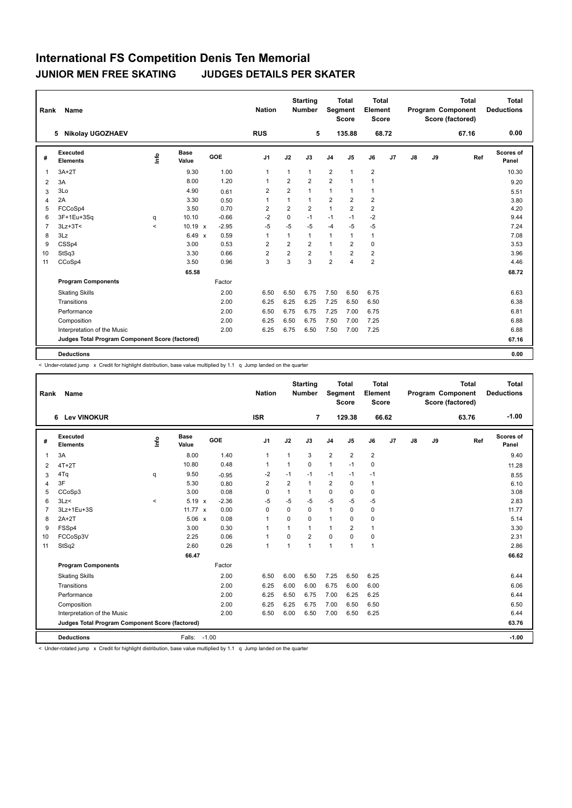| Rank           | <b>Name</b>                                     |                          |                      |         | <b>Nation</b>  |                | <b>Starting</b><br>Number | Segment        | <b>Total</b><br><b>Score</b> | <b>Total</b><br>Element<br>Score |       |               |    | <b>Total</b><br><b>Program Component</b><br>Score (factored) | Total<br><b>Deductions</b> |
|----------------|-------------------------------------------------|--------------------------|----------------------|---------|----------------|----------------|---------------------------|----------------|------------------------------|----------------------------------|-------|---------------|----|--------------------------------------------------------------|----------------------------|
|                | <b>Nikolay UGOZHAEV</b><br>5                    |                          |                      |         | <b>RUS</b>     |                | 5                         |                | 135.88                       |                                  | 68.72 |               |    | 67.16                                                        | 0.00                       |
| #              | Executed<br><b>Elements</b>                     | ١nfo                     | <b>Base</b><br>Value | GOE     | J <sub>1</sub> | J2             | J3                        | J <sub>4</sub> | J5                           | J6                               | J7    | $\mathsf{J}8$ | J9 | Ref                                                          | Scores of<br>Panel         |
| 1              | $3A+2T$                                         |                          | 9.30                 | 1.00    | $\overline{1}$ | $\mathbf{1}$   | $\mathbf{1}$              | $\overline{2}$ | $\mathbf{1}$                 | $\overline{2}$                   |       |               |    |                                                              | 10.30                      |
| 2              | 3A                                              |                          | 8.00                 | 1.20    | 1              | 2              | $\overline{2}$            | $\overline{2}$ | 1                            | $\mathbf{1}$                     |       |               |    |                                                              | 9.20                       |
| 3              | 3Lo                                             |                          | 4.90                 | 0.61    | 2              | 2              | $\mathbf{1}$              | 1              | 1                            | $\mathbf{1}$                     |       |               |    |                                                              | 5.51                       |
| $\overline{4}$ | 2A                                              |                          | 3.30                 | 0.50    | $\mathbf{1}$   | 1              | $\mathbf{1}$              | $\overline{2}$ | $\overline{2}$               | $\overline{2}$                   |       |               |    |                                                              | 3.80                       |
| 5              | FCCoSp4                                         |                          | 3.50                 | 0.70    | $\overline{2}$ | $\overline{2}$ | $\overline{2}$            | $\mathbf{1}$   | $\overline{2}$               | $\overline{2}$                   |       |               |    |                                                              | 4.20                       |
| 6              | 3F+1Eu+3Sq                                      | q                        | 10.10                | $-0.66$ | $-2$           | $\mathbf 0$    | $-1$                      | $-1$           | $-1$                         | $-2$                             |       |               |    |                                                              | 9.44                       |
| $\overline{7}$ | $3Lz + 3T <$                                    | $\overline{\phantom{a}}$ | $10.19 \times$       | $-2.95$ | $-5$           | $-5$           | $-5$                      | $-4$           | $-5$                         | $-5$                             |       |               |    |                                                              | 7.24                       |
| 8              | 3Lz                                             |                          | 6.49 x               | 0.59    | $\mathbf{1}$   | 1              | $\mathbf{1}$              | $\mathbf{1}$   | 1                            | $\mathbf{1}$                     |       |               |    |                                                              | 7.08                       |
| 9              | CSSp4                                           |                          | 3.00                 | 0.53    | $\overline{2}$ | 2              | $\overline{2}$            | $\mathbf{1}$   | $\overline{2}$               | 0                                |       |               |    |                                                              | 3.53                       |
| 10             | StSq3                                           |                          | 3.30                 | 0.66    | $\overline{2}$ | $\overline{2}$ | $\overline{2}$            | $\mathbf{1}$   | $\overline{2}$               | $\overline{2}$                   |       |               |    |                                                              | 3.96                       |
| 11             | CCoSp4                                          |                          | 3.50                 | 0.96    | 3              | 3              | 3                         | $\overline{2}$ | $\overline{4}$               | $\overline{2}$                   |       |               |    |                                                              | 4.46                       |
|                |                                                 |                          | 65.58                |         |                |                |                           |                |                              |                                  |       |               |    |                                                              | 68.72                      |
|                | <b>Program Components</b>                       |                          |                      | Factor  |                |                |                           |                |                              |                                  |       |               |    |                                                              |                            |
|                | <b>Skating Skills</b>                           |                          |                      | 2.00    | 6.50           | 6.50           | 6.75                      | 7.50           | 6.50                         | 6.75                             |       |               |    |                                                              | 6.63                       |
|                | Transitions                                     |                          |                      | 2.00    | 6.25           | 6.25           | 6.25                      | 7.25           | 6.50                         | 6.50                             |       |               |    |                                                              | 6.38                       |
|                | Performance                                     |                          |                      | 2.00    | 6.50           | 6.75           | 6.75                      | 7.25           | 7.00                         | 6.75                             |       |               |    |                                                              | 6.81                       |
|                | Composition                                     |                          |                      | 2.00    | 6.25           | 6.50           | 6.75                      | 7.50           | 7.00                         | 7.25                             |       |               |    |                                                              | 6.88                       |
|                | Interpretation of the Music                     |                          |                      | 2.00    | 6.25           | 6.75           | 6.50                      | 7.50           | 7.00                         | 7.25                             |       |               |    |                                                              | 6.88                       |
|                | Judges Total Program Component Score (factored) |                          |                      |         |                |                |                           |                |                              |                                  |       |               |    |                                                              | 67.16                      |
|                | <b>Deductions</b>                               |                          |                      |         |                |                |                           |                |                              |                                  |       |               |    |                                                              | 0.00                       |

< Under-rotated jump x Credit for highlight distribution, base value multiplied by 1.1 q Jump landed on the quarter

| Rank           | Name                                            |                                  |                      |            | <b>Nation</b>  |                | <b>Starting</b><br><b>Number</b> | Segment        | Total<br><b>Score</b> | Total<br>Element<br><b>Score</b> |       |    |    | <b>Total</b><br>Program Component<br>Score (factored) | Total<br><b>Deductions</b> |
|----------------|-------------------------------------------------|----------------------------------|----------------------|------------|----------------|----------------|----------------------------------|----------------|-----------------------|----------------------------------|-------|----|----|-------------------------------------------------------|----------------------------|
|                | 6 Lev VINOKUR                                   |                                  |                      |            | <b>ISR</b>     |                | $\overline{7}$                   |                | 129.38                |                                  | 66.62 |    |    | 63.76                                                 | $-1.00$                    |
| #              | Executed<br><b>Elements</b>                     | $\mathop{\mathsf{Irr}}\nolimits$ | <b>Base</b><br>Value | <b>GOE</b> | J <sub>1</sub> | J2             | J3                               | J <sub>4</sub> | J <sub>5</sub>        | J6                               | J7    | J8 | J9 | Ref                                                   | Scores of<br>Panel         |
| 1              | 3A                                              |                                  | 8.00                 | 1.40       | $\mathbf{1}$   | 1              | 3                                | 2              | $\overline{2}$        | $\overline{2}$                   |       |    |    |                                                       | 9.40                       |
| 2              | $4T+2T$                                         |                                  | 10.80                | 0.48       | $\mathbf{1}$   | $\mathbf{1}$   | $\Omega$                         | $\mathbf{1}$   | $-1$                  | $\Omega$                         |       |    |    |                                                       | 11.28                      |
| 3              | 4Tq                                             | q                                | 9.50                 | $-0.95$    | $-2$           | $-1$           | $-1$                             | $-1$           | $-1$                  | $-1$                             |       |    |    |                                                       | 8.55                       |
| 4              | 3F                                              |                                  | 5.30                 | 0.80       | $\overline{2}$ | $\overline{2}$ | $\mathbf{1}$                     | $\overline{2}$ | 0                     | $\mathbf{1}$                     |       |    |    |                                                       | 6.10                       |
| 5              | CCoSp3                                          |                                  | 3.00                 | 0.08       | $\mathbf 0$    | 1              | 1                                | $\mathbf 0$    | $\Omega$              | $\mathbf 0$                      |       |    |    |                                                       | 3.08                       |
| 6              | 3Lz                                             | $\prec$                          | 5.19 x               | $-2.36$    | $-5$           | $-5$           | -5                               | $-5$           | $-5$                  | $-5$                             |       |    |    |                                                       | 2.83                       |
| $\overline{7}$ | 3Lz+1Eu+3S                                      |                                  | 11.77 $x$            | 0.00       | 0              | $\mathbf 0$    | $\mathbf 0$                      | $\mathbf{1}$   | 0                     | $\mathbf 0$                      |       |    |    |                                                       | 11.77                      |
| 8              | $2A+2T$                                         |                                  | $5.06 \times$        | 0.08       | $\overline{1}$ | $\Omega$       | $\Omega$                         | $\mathbf{1}$   | $\Omega$              | $\mathbf 0$                      |       |    |    |                                                       | 5.14                       |
| 9              | FSSp4                                           |                                  | 3.00                 | 0.30       | 1              |                | 1                                | 1              | $\overline{2}$        | $\mathbf{1}$                     |       |    |    |                                                       | 3.30                       |
| 10             | FCCoSp3V                                        |                                  | 2.25                 | 0.06       | 1              | $\Omega$       | $\overline{2}$                   | $\Omega$       | $\Omega$              | $\mathbf 0$                      |       |    |    |                                                       | 2.31                       |
| 11             | StSq2                                           |                                  | 2.60                 | 0.26       | $\overline{1}$ | $\overline{1}$ | $\mathbf{1}$                     | 1              | $\overline{1}$        | $\mathbf{1}$                     |       |    |    |                                                       | 2.86                       |
|                |                                                 |                                  | 66.47                |            |                |                |                                  |                |                       |                                  |       |    |    |                                                       | 66.62                      |
|                | <b>Program Components</b>                       |                                  |                      | Factor     |                |                |                                  |                |                       |                                  |       |    |    |                                                       |                            |
|                | <b>Skating Skills</b>                           |                                  |                      | 2.00       | 6.50           | 6.00           | 6.50                             | 7.25           | 6.50                  | 6.25                             |       |    |    |                                                       | 6.44                       |
|                | Transitions                                     |                                  |                      | 2.00       | 6.25           | 6.00           | 6.00                             | 6.75           | 6.00                  | 6.00                             |       |    |    |                                                       | 6.06                       |
|                | Performance                                     |                                  |                      | 2.00       | 6.25           | 6.50           | 6.75                             | 7.00           | 6.25                  | 6.25                             |       |    |    |                                                       | 6.44                       |
|                | Composition                                     |                                  |                      | 2.00       | 6.25           | 6.25           | 6.75                             | 7.00           | 6.50                  | 6.50                             |       |    |    |                                                       | 6.50                       |
|                | Interpretation of the Music                     |                                  |                      | 2.00       | 6.50           | 6.00           | 6.50                             | 7.00           | 6.50                  | 6.25                             |       |    |    |                                                       | 6.44                       |
|                | Judges Total Program Component Score (factored) |                                  |                      |            |                |                |                                  |                |                       |                                  |       |    |    |                                                       | 63.76                      |
|                | <b>Deductions</b>                               |                                  | Falls: -1.00         |            |                |                |                                  |                |                       |                                  |       |    |    |                                                       | $-1.00$                    |

< Under-rotated jump x Credit for highlight distribution, base value multiplied by 1.1 q Jump landed on the quarter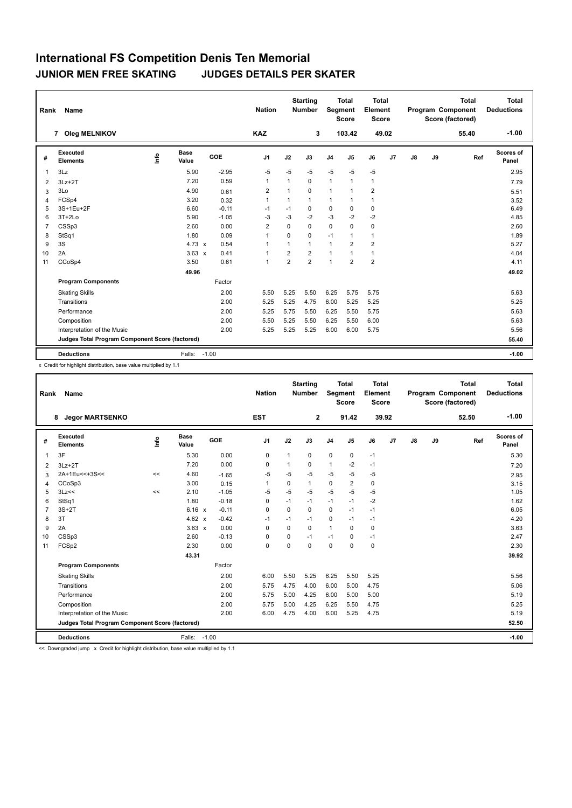| Rank           | Name                                            |                                  |                      |            | <b>Nation</b>  |                | <b>Starting</b><br><b>Number</b> | Segment        | <b>Total</b><br><b>Score</b> | Total<br>Element<br><b>Score</b> |                |               |    | <b>Total</b><br>Program Component<br>Score (factored) | Total<br><b>Deductions</b> |
|----------------|-------------------------------------------------|----------------------------------|----------------------|------------|----------------|----------------|----------------------------------|----------------|------------------------------|----------------------------------|----------------|---------------|----|-------------------------------------------------------|----------------------------|
|                | <b>Oleg MELNIKOV</b><br>$\overline{7}$          |                                  |                      |            | <b>KAZ</b>     |                | 3                                |                | 103.42                       | 49.02                            |                |               |    | 55.40                                                 | $-1.00$                    |
| #              | Executed<br><b>Elements</b>                     | $\mathop{\mathsf{Irr}}\nolimits$ | <b>Base</b><br>Value | <b>GOE</b> | J <sub>1</sub> | J2             | J3                               | J <sub>4</sub> | J <sub>5</sub>               | J6                               | J <sub>7</sub> | $\mathsf{J}8$ | J9 | Ref                                                   | Scores of<br>Panel         |
| $\mathbf{1}$   | 3Lz                                             |                                  | 5.90                 | $-2.95$    | $-5$           | $-5$           | $-5$                             | $-5$           | $-5$                         | $-5$                             |                |               |    |                                                       | 2.95                       |
| 2              | $3Lz + 2T$                                      |                                  | 7.20                 | 0.59       | $\overline{1}$ | 1              | 0                                | $\mathbf{1}$   | $\mathbf{1}$                 | $\overline{1}$                   |                |               |    |                                                       | 7.79                       |
| 3              | 3Lo                                             |                                  | 4.90                 | 0.61       | 2              | 1              | $\Omega$                         | $\mathbf{1}$   | 1                            | $\overline{2}$                   |                |               |    |                                                       | 5.51                       |
| 4              | FCSp4                                           |                                  | 3.20                 | 0.32       | $\mathbf{1}$   | $\mathbf{1}$   | $\mathbf{1}$                     | $\mathbf{1}$   | $\mathbf{1}$                 | $\mathbf{1}$                     |                |               |    |                                                       | 3.52                       |
| 5              | 3S+1Eu+2F                                       |                                  | 6.60                 | $-0.11$    | $-1$           | $-1$           | 0                                | $\mathbf 0$    | $\mathbf 0$                  | 0                                |                |               |    |                                                       | 6.49                       |
| 6              | $3T+2Lo$                                        |                                  | 5.90                 | $-1.05$    | -3             | $-3$           | $-2$                             | $-3$           | $-2$                         | $-2$                             |                |               |    |                                                       | 4.85                       |
| $\overline{7}$ | CSSp3                                           |                                  | 2.60                 | 0.00       | 2              | 0              | 0                                | $\mathbf 0$    | 0                            | 0                                |                |               |    |                                                       | 2.60                       |
| 8              | StSq1                                           |                                  | 1.80                 | 0.09       | $\mathbf{1}$   | $\Omega$       | 0                                | $-1$           | 1                            | 1                                |                |               |    |                                                       | 1.89                       |
| 9              | 3S                                              |                                  | 4.73 $\times$        | 0.54       | -1             | 1              | 1                                | $\mathbf{1}$   | 2                            | $\overline{2}$                   |                |               |    |                                                       | 5.27                       |
| 10             | 2A                                              |                                  | $3.63 \times$        | 0.41       | $\overline{1}$ | $\overline{2}$ | $\overline{2}$                   | $\overline{1}$ | 1                            | 1                                |                |               |    |                                                       | 4.04                       |
| 11             | CCoSp4                                          |                                  | 3.50                 | 0.61       | $\mathbf{1}$   | $\overline{2}$ | $\overline{2}$                   | $\overline{1}$ | $\overline{2}$               | $\overline{2}$                   |                |               |    |                                                       | 4.11                       |
|                |                                                 |                                  | 49.96                |            |                |                |                                  |                |                              |                                  |                |               |    |                                                       | 49.02                      |
|                | <b>Program Components</b>                       |                                  |                      | Factor     |                |                |                                  |                |                              |                                  |                |               |    |                                                       |                            |
|                | <b>Skating Skills</b>                           |                                  |                      | 2.00       | 5.50           | 5.25           | 5.50                             | 6.25           | 5.75                         | 5.75                             |                |               |    |                                                       | 5.63                       |
|                | Transitions                                     |                                  |                      | 2.00       | 5.25           | 5.25           | 4.75                             | 6.00           | 5.25                         | 5.25                             |                |               |    |                                                       | 5.25                       |
|                | Performance                                     |                                  |                      | 2.00       | 5.25           | 5.75           | 5.50                             | 6.25           | 5.50                         | 5.75                             |                |               |    |                                                       | 5.63                       |
|                | Composition                                     |                                  |                      | 2.00       | 5.50           | 5.25           | 5.50                             | 6.25           | 5.50                         | 6.00                             |                |               |    |                                                       | 5.63                       |
|                | Interpretation of the Music                     |                                  |                      | 2.00       | 5.25           | 5.25           | 5.25                             | 6.00           | 6.00                         | 5.75                             |                |               |    |                                                       | 5.56                       |
|                | Judges Total Program Component Score (factored) |                                  |                      |            |                |                |                                  |                |                              |                                  |                |               |    |                                                       | 55.40                      |
|                | <b>Deductions</b>                               |                                  | Falls:               | $-1.00$    |                |                |                                  |                |                              |                                  |                |               |    |                                                       | $-1.00$                    |

x Credit for highlight distribution, base value multiplied by 1.1

| Rank           | <b>Name</b>                                     |      |                      |            | <b>Nation</b>  |              | <b>Starting</b><br><b>Number</b> | Segment        | <b>Total</b><br><b>Score</b> | <b>Total</b><br>Element<br><b>Score</b> |       |               |    | <b>Total</b><br>Program Component<br>Score (factored) | <b>Total</b><br><b>Deductions</b> |
|----------------|-------------------------------------------------|------|----------------------|------------|----------------|--------------|----------------------------------|----------------|------------------------------|-----------------------------------------|-------|---------------|----|-------------------------------------------------------|-----------------------------------|
|                | <b>Jegor MARTSENKO</b><br>8                     |      |                      |            | <b>EST</b>     |              | $\overline{2}$                   |                | 91.42                        |                                         | 39.92 |               |    | 52.50                                                 | $-1.00$                           |
| #              | Executed<br><b>Elements</b>                     | Info | <b>Base</b><br>Value | <b>GOE</b> | J <sub>1</sub> | J2           | J3                               | J <sub>4</sub> | J5                           | J6                                      | J7    | $\mathsf{J}8$ | J9 | Ref                                                   | Scores of<br>Panel                |
| $\overline{1}$ | 3F                                              |      | 5.30                 | 0.00       | 0              | $\mathbf{1}$ | 0                                | $\pmb{0}$      | 0                            | $-1$                                    |       |               |    |                                                       | 5.30                              |
| 2              | $3Lz + 2T$                                      |      | 7.20                 | 0.00       | 0              |              | $\Omega$                         | $\mathbf{1}$   | $-2$                         | $-1$                                    |       |               |    |                                                       | 7.20                              |
| 3              | 2A+1Eu<<+3S<<                                   | <<   | 4.60                 | $-1.65$    | -5             | $-5$         | $-5$                             | $-5$           | $-5$                         | $-5$                                    |       |               |    |                                                       | 2.95                              |
| 4              | CCoSp3                                          |      | 3.00                 | 0.15       | 1              | $\mathbf 0$  | $\mathbf{1}$                     | $\pmb{0}$      | 2                            | 0                                       |       |               |    |                                                       | 3.15                              |
| 5              | 3Lz<<                                           | <<   | 2.10                 | $-1.05$    | -5             | $-5$         | $-5$                             | $-5$           | $-5$                         | $-5$                                    |       |               |    |                                                       | 1.05                              |
| 6              | StSq1                                           |      | 1.80                 | $-0.18$    | 0              | $-1$         | $-1$                             | $-1$           | $-1$                         | $-2$                                    |       |               |    |                                                       | 1.62                              |
| $\overline{7}$ | $3S+2T$                                         |      | 6.16 x               | $-0.11$    | $\Omega$       | $\Omega$     | $\Omega$                         | $\mathbf 0$    | $-1$                         | $-1$                                    |       |               |    |                                                       | 6.05                              |
| 8              | 3T                                              |      | 4.62 $x$             | $-0.42$    | $-1$           | $-1$         | $-1$                             | 0              | $-1$                         | $-1$                                    |       |               |    |                                                       | 4.20                              |
| 9              | 2A                                              |      | $3.63 \times$        | 0.00       | $\Omega$       | $\Omega$     | 0                                | $\mathbf{1}$   | $\Omega$                     | 0                                       |       |               |    |                                                       | 3.63                              |
| 10             | CSSp3                                           |      | 2.60                 | $-0.13$    | $\mathbf 0$    | $\Omega$     | $-1$                             | $-1$           | $\Omega$                     | $-1$                                    |       |               |    |                                                       | 2.47                              |
| 11             | FCSp2                                           |      | 2.30                 | 0.00       | $\mathbf 0$    | $\Omega$     | $\Omega$                         | $\mathbf 0$    | $\Omega$                     | $\mathbf 0$                             |       |               |    |                                                       | 2.30                              |
|                |                                                 |      | 43.31                |            |                |              |                                  |                |                              |                                         |       |               |    |                                                       | 39.92                             |
|                | <b>Program Components</b>                       |      |                      | Factor     |                |              |                                  |                |                              |                                         |       |               |    |                                                       |                                   |
|                | <b>Skating Skills</b>                           |      |                      | 2.00       | 6.00           | 5.50         | 5.25                             | 6.25           | 5.50                         | 5.25                                    |       |               |    |                                                       | 5.56                              |
|                | Transitions                                     |      |                      | 2.00       | 5.75           | 4.75         | 4.00                             | 6.00           | 5.00                         | 4.75                                    |       |               |    |                                                       | 5.06                              |
|                | Performance                                     |      |                      | 2.00       | 5.75           | 5.00         | 4.25                             | 6.00           | 5.00                         | 5.00                                    |       |               |    |                                                       | 5.19                              |
|                | Composition                                     |      |                      | 2.00       | 5.75           | 5.00         | 4.25                             | 6.25           | 5.50                         | 4.75                                    |       |               |    |                                                       | 5.25                              |
|                | Interpretation of the Music                     |      |                      | 2.00       | 6.00           | 4.75         | 4.00                             | 6.00           | 5.25                         | 4.75                                    |       |               |    |                                                       | 5.19                              |
|                | Judges Total Program Component Score (factored) |      |                      |            |                |              |                                  |                |                              |                                         |       |               |    |                                                       | 52.50                             |
|                | <b>Deductions</b>                               |      | Falls: -1.00         |            |                |              |                                  |                |                              |                                         |       |               |    |                                                       | $-1.00$                           |

<< Downgraded jump x Credit for highlight distribution, base value multiplied by 1.1